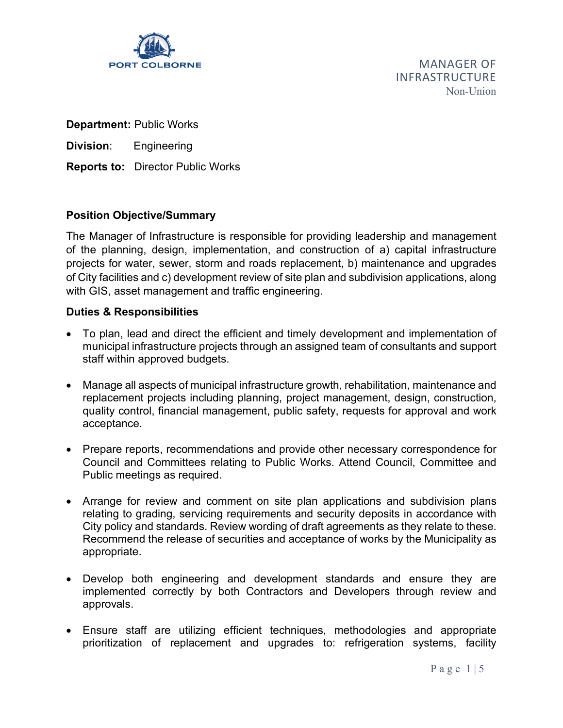

**PORT COLBORNE** *MANAGER OF* INFRASTRUCTURE Non-Union

**Department:** Public Works

**Division**: Engineering

**Reports to:** Director Public Works

# **Position Objective/Summary**

The Manager of Infrastructure is responsible for providing leadership and management of the planning, design, implementation, and construction of a) capital infrastructure projects for water, sewer, storm and roads replacement, b) maintenance and upgrades of City facilities and c) development review of site plan and subdivision applications, along with GIS, asset management and traffic engineering.

## **Duties & Responsibilities**

- To plan, lead and direct the efficient and timely development and implementation of municipal infrastructure projects through an assigned team of consultants and support staff within approved budgets.
- Manage all aspects of municipal infrastructure growth, rehabilitation, maintenance and replacement projects including planning, project management, design, construction, quality control, financial management, public safety, requests for approval and work acceptance.
- Prepare reports, recommendations and provide other necessary correspondence for Council and Committees relating to Public Works. Attend Council, Committee and Public meetings as required.
- Arrange for review and comment on site plan applications and subdivision plans relating to grading, servicing requirements and security deposits in accordance with City policy and standards. Review wording of draft agreements as they relate to these. Recommend the release of securities and acceptance of works by the Municipality as appropriate.
- Develop both engineering and development standards and ensure they are implemented correctly by both Contractors and Developers through review and approvals.
- Ensure staff are utilizing efficient techniques, methodologies and appropriate prioritization of replacement and upgrades to: refrigeration systems, facility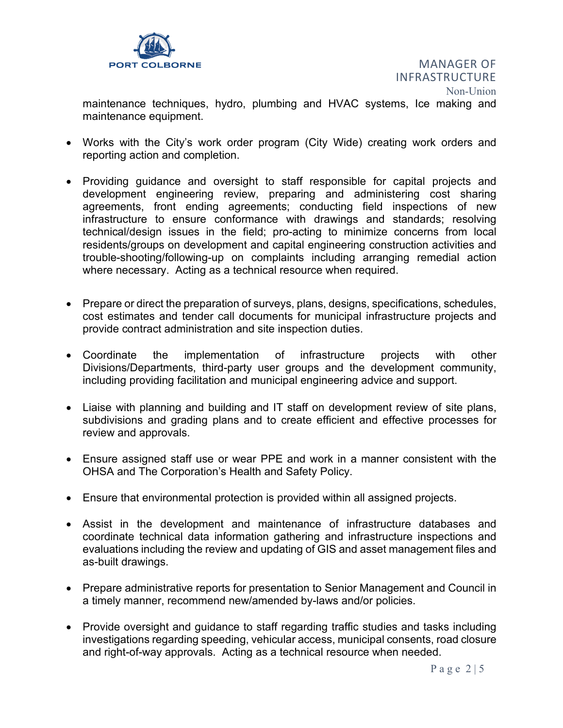

INFRASTRUCTURE Non-Union

maintenance techniques, hydro, plumbing and HVAC systems, Ice making and maintenance equipment.

- Works with the City's work order program (City Wide) creating work orders and reporting action and completion.
- Providing guidance and oversight to staff responsible for capital projects and development engineering review, preparing and administering cost sharing agreements, front ending agreements; conducting field inspections of new infrastructure to ensure conformance with drawings and standards; resolving technical/design issues in the field; pro-acting to minimize concerns from local residents/groups on development and capital engineering construction activities and trouble-shooting/following-up on complaints including arranging remedial action where necessary. Acting as a technical resource when required.
- Prepare or direct the preparation of surveys, plans, designs, specifications, schedules, cost estimates and tender call documents for municipal infrastructure projects and provide contract administration and site inspection duties.
- Coordinate the implementation of infrastructure projects with other Divisions/Departments, third-party user groups and the development community, including providing facilitation and municipal engineering advice and support.
- Liaise with planning and building and IT staff on development review of site plans, subdivisions and grading plans and to create efficient and effective processes for review and approvals.
- Ensure assigned staff use or wear PPE and work in a manner consistent with the OHSA and The Corporation's Health and Safety Policy.
- Ensure that environmental protection is provided within all assigned projects.
- Assist in the development and maintenance of infrastructure databases and coordinate technical data information gathering and infrastructure inspections and evaluations including the review and updating of GIS and asset management files and as-built drawings.
- Prepare administrative reports for presentation to Senior Management and Council in a timely manner, recommend new/amended by-laws and/or policies.
- Provide oversight and guidance to staff regarding traffic studies and tasks including investigations regarding speeding, vehicular access, municipal consents, road closure and right-of-way approvals. Acting as a technical resource when needed.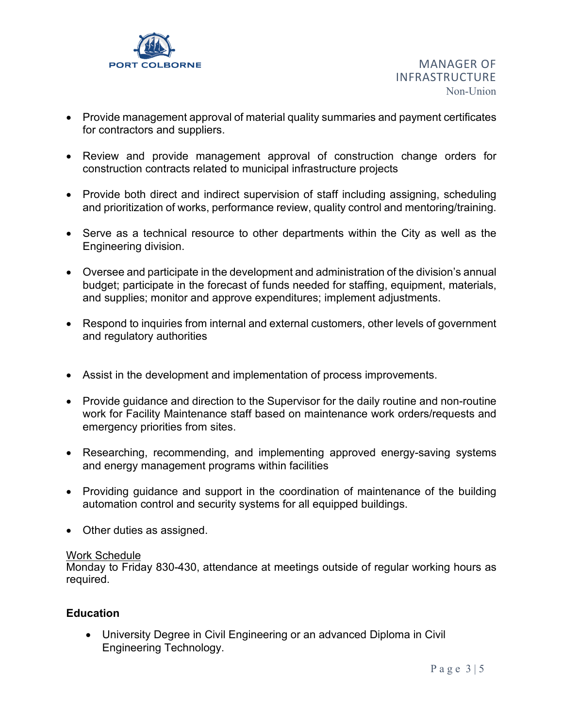

- Provide management approval of material quality summaries and payment certificates for contractors and suppliers.
- Review and provide management approval of construction change orders for construction contracts related to municipal infrastructure projects
- Provide both direct and indirect supervision of staff including assigning, scheduling and prioritization of works, performance review, quality control and mentoring/training.
- Serve as a technical resource to other departments within the City as well as the Engineering division.
- Oversee and participate in the development and administration of the division's annual budget; participate in the forecast of funds needed for staffing, equipment, materials, and supplies; monitor and approve expenditures; implement adjustments.
- Respond to inquiries from internal and external customers, other levels of government and regulatory authorities
- Assist in the development and implementation of process improvements.
- Provide guidance and direction to the Supervisor for the daily routine and non-routine work for Facility Maintenance staff based on maintenance work orders/requests and emergency priorities from sites.
- Researching, recommending, and implementing approved energy-saving systems and energy management programs within facilities
- Providing guidance and support in the coordination of maintenance of the building automation control and security systems for all equipped buildings.
- Other duties as assigned.

#### Work Schedule

Monday to Friday 830-430, attendance at meetings outside of regular working hours as required.

## **Education**

• University Degree in Civil Engineering or an advanced Diploma in Civil Engineering Technology.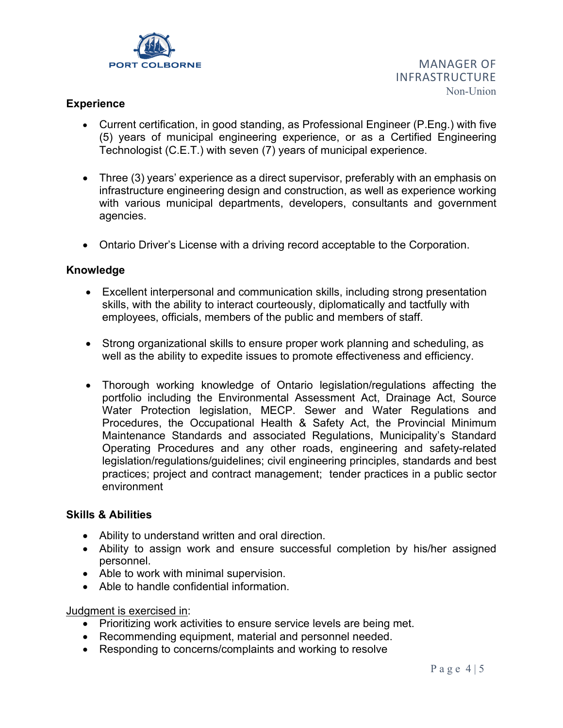

## **Experience**

- Current certification, in good standing, as Professional Engineer (P.Eng.) with five (5) years of municipal engineering experience, or as a Certified Engineering Technologist (C.E.T.) with seven (7) years of municipal experience.
- Three (3) years' experience as a direct supervisor, preferably with an emphasis on infrastructure engineering design and construction, as well as experience working with various municipal departments, developers, consultants and government agencies.
- Ontario Driver's License with a driving record acceptable to the Corporation.

#### **Knowledge**

- Excellent interpersonal and communication skills, including strong presentation skills, with the ability to interact courteously, diplomatically and tactfully with employees, officials, members of the public and members of staff.
- Strong organizational skills to ensure proper work planning and scheduling, as well as the ability to expedite issues to promote effectiveness and efficiency.
- Thorough working knowledge of Ontario legislation/regulations affecting the portfolio including the Environmental Assessment Act, Drainage Act, Source Water Protection legislation, MECP. Sewer and Water Regulations and Procedures, the Occupational Health & Safety Act, the Provincial Minimum Maintenance Standards and associated Regulations, Municipality's Standard Operating Procedures and any other roads, engineering and safety-related legislation/regulations/guidelines; civil engineering principles, standards and best practices; project and contract management; tender practices in a public sector environment

#### **Skills & Abilities**

- Ability to understand written and oral direction.
- Ability to assign work and ensure successful completion by his/her assigned personnel.
- Able to work with minimal supervision.
- Able to handle confidential information.

#### Judgment is exercised in:

- Prioritizing work activities to ensure service levels are being met.
- Recommending equipment, material and personnel needed.
- Responding to concerns/complaints and working to resolve